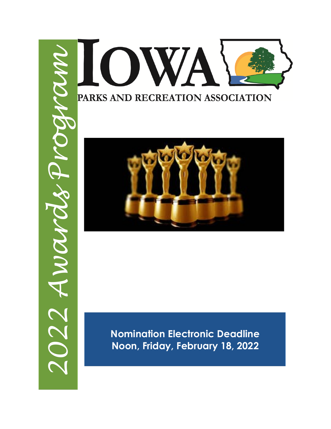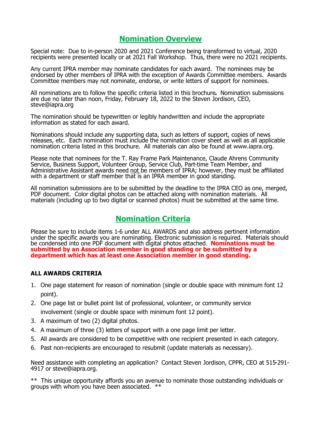# **Nomination Overview**

Special note: Due to in-person 2020 and 2021 Conference being transformed to virtual, 2020 recipients were presented locally or at 2021 Fall Workshop. Thus, there were no 2021 recipients.

Any current IPRA member may nominate candidates for each award. The nominees may be endorsed by other members of IPRA with the exception of Awards Committee members. Awards Committee members may not nominate, endorse, or write letters of support for nominees.

All nominations are to follow the specific criteria listed in this brochure**.** Nomination submissions are due no later than noon, Friday, February 18, 2022 to the Steven Jordison, CEO, steve@iapra.org

The nomination should be typewritten or legibly handwritten and include the appropriate information as stated for each award.

Nominations should include any supporting data, such as letters of support, copies of news releases, etc. Each nomination must include the nomination cover sheet as well as all applicable nomination criteria listed in this brochure. All materials can also be found at www.iapra.org.

Please note that nominees for the T. Ray Frame Park Maintenance, Claude Ahrens Community Service, Business Support, Volunteer Group, Service Club, Part-time Team Member, and Administrative Assistant awards need not be members of IPRA; however, they must be affiliated with a department or staff member that is an IPRA member in good standing.

All nomination submissions are to be submitted by the deadline to the IPRA CEO as one, merged, PDF document. Color digital photos can be attached along with nomination materials. All materials (including up to two digital or scanned photos) must be submitted at the same time.

# **Nomination Criteria**

Please be sure to include items 1-6 under ALL AWARDS and also address pertinent information under the specific awards you are nominating. Electronic submission is required. Materials should be condensed into one PDF document with digital photos attached. **Nominations must be submitted by an Association member in good standing or be submitted by a department which has at least one Association member in good standing.**

## **ALL AWARDS CRITERIA**

- 1. One page statement for reason of nomination (single or double space with minimum font 12 point).
- 2. One page list or bullet point list of professional, volunteer, or community service involvement (single or double space with minimum font 12 point).
- 3. A maximum of two (2) digital photos.
- 4. A maximum of three (3) letters of support with a one page limit per letter.
- 5. All awards are considered to be competitive with one recipient presented in each category.
- 6. Past non-recipients are encouraged to resubmit (update materials as necessary).

Need assistance with completing an application? Contact Steven Jordison, CPPR, CEO at 515-291- 4917 or steve@iapra.org.

\*\* This unique opportunity affords you an avenue to nominate those outstanding individuals or groups with whom you have been associated. \*\*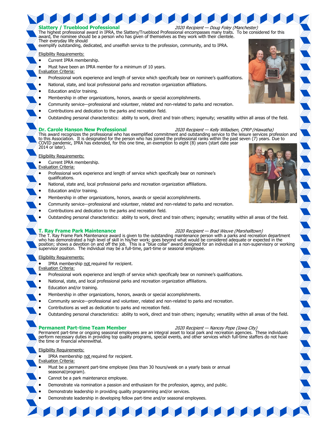

- Membership in other organizations, honors, awards or special accomplishments.
- Community service—professional and volunteer, related and non-related to parks and recreation.
- Contributions and dedication to the parks and recreation field.
- Outstanding personal characteristics: ability to work, direct and train others; ingenuity; versatility within all areas of the field.

#### **T. Ray Frame Park Maintenance** 2020 Recipient — Brad Weuve (Marshalltown)

The T. Ray Frame Park Maintenance award is given to the outstanding maintenance person with a parks and recreation department who has demonstrated a high level of skill in his/her work; goes beyond what would be considered adequate or expected in the<br>position; shows a devotion on and off the job. This is a "blue collar" award designed for an ind supervisor position. The individual may be a full-time, part-time or seasonal employee.

#### Eligibility Requirements:

- IPRA membership not required for recipient.
- Evaluation Criteria:
- Professional work experience and length of service which specifically bear on nominee's qualifications.
- National, state, and local professional parks and recreation organization affiliations.
- Education and/or training.
- Membership in other organizations, honors, awards or special accomplishments.
- Community service—professional and volunteer, related and non-related to parks and recreation.
- Contributions as well as dedication to parks and recreation field.
- Outstanding personal characteristics: ability to work, direct and train others; ingenuity; versatility within all areas of the field.

### **Permanent Part-time Team Member** 2020 Recipient — Nancey Pope (Iowa City)

**RASA BAR** 

**Reserves** 

**THE CONSTRUCTION** 

Permanent part-time or ongoing seasonal employees are an integral asset to local park and recreation agencies. These individuals perform necessary duties in providing top quality programs, special events, and other services which full-time staffers do not have the time or financial wherewithal.

### Eligibility Requirements:

- IPRA membership not required for recipient.
- Evaluation Criteria:
- Must be a permanent part-time employee (less than 30 hours/week on a yearly basis or annual seasonal/program).
- Cannot be a park maintenance employee.
- Demonstrate via nomination a passion and enthusiasm for the profession, agency, and public.
- Demonstrate leadership in providing quality programming and/or services.
- Demonstrate leadership in developing fellow part-time and/or seasonal employees.